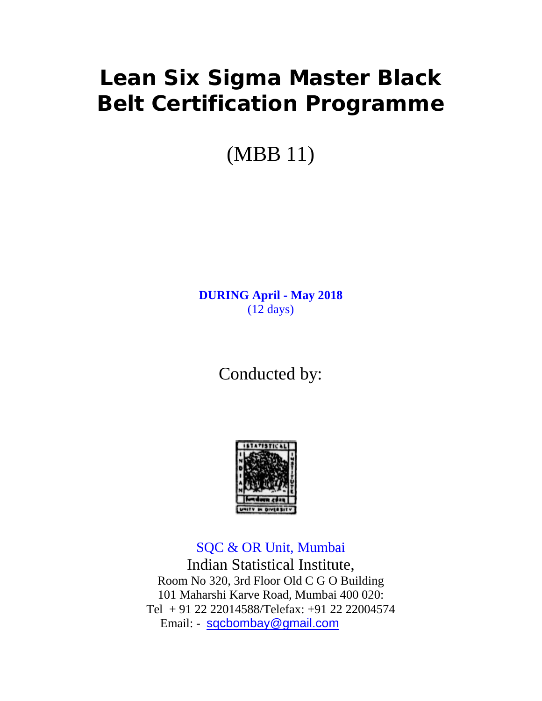# **Lean Six Sigma Master Black Belt Certification Programme**

(MBB 11)

**DURING April - May 2018** (12 days)

Conducted by:



SQC & OR Unit, Mumbai Indian Statistical Institute, Room No 320, 3rd Floor Old C G O Building 101 Maharshi Karve Road, Mumbai 400 020: Tel + 91 22 22014588/Telefax: +91 22 22004574 Email: - [sqcbombay@gmail.com](mailto:sqcbombay@gmail.com)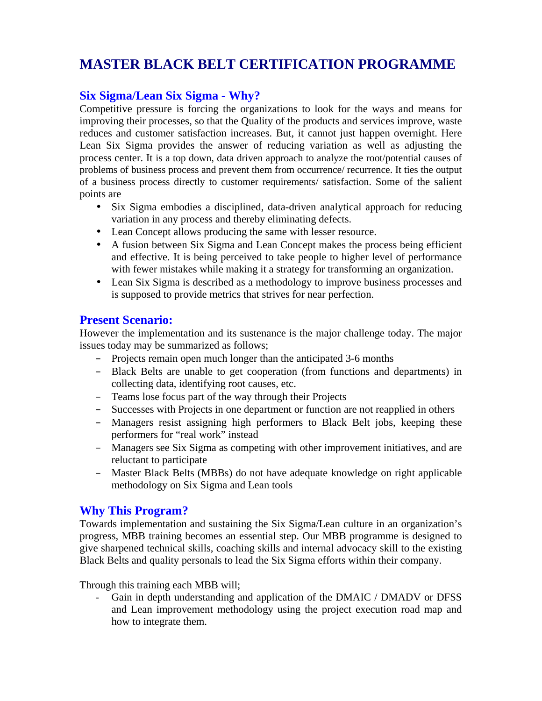# **MASTER BLACK BELT CERTIFICATION PROGRAMME**

## **Six Sigma/Lean Six Sigma - Why?**

Competitive pressure is forcing the organizations to look for the ways and means for improving their processes, so that the Quality of the products and services improve, waste reduces and customer satisfaction increases. But, it cannot just happen overnight. Here Lean Six Sigma provides the answer of reducing variation as well as adjusting the process center. It is a top down, data driven approach to analyze the root/potential causes of problems of business process and prevent them from occurrence/ recurrence. It ties the output of a business process directly to customer requirements/ satisfaction. Some of the salient points are

- Six Sigma embodies a disciplined, data-driven analytical approach for reducing variation in any process and thereby eliminating defects.
- Lean Concept allows producing the same with lesser resource.
- A fusion between Six Sigma and Lean Concept makes the process being efficient and effective. It is being perceived to take people to higher level of performance with fewer mistakes while making it a strategy for transforming an organization.
- Lean Six Sigma is described as a methodology to improve business processes and is supposed to provide metrics that strives for near perfection.

#### **Present Scenario:**

However the implementation and its sustenance is the major challenge today. The major issues today may be summarized as follows;

- Projects remain open much longer than the anticipated 3-6 months
- Black Belts are unable to get cooperation (from functions and departments) in collecting data, identifying root causes, etc.
- Teams lose focus part of the way through their Projects
- Successes with Projects in one department or function are not reapplied in others
- Managers resist assigning high performers to Black Belt jobs, keeping these performers for "real work" instead
- Managers see Six Sigma as competing with other improvement initiatives, and are reluctant to participate
- Master Black Belts (MBBs) do not have adequate knowledge on right applicable methodology on Six Sigma and Lean tools

#### **Why This Program?**

Towards implementation and sustaining the Six Sigma/Lean culture in an organization's progress, MBB training becomes an essential step. Our MBB programme is designed to give sharpened technical skills, coaching skills and internal advocacy skill to the existing Black Belts and quality personals to lead the Six Sigma efforts within their company.

Through this training each MBB will;

Gain in depth understanding and application of the DMAIC / DMADV or DFSS and Lean improvement methodology using the project execution road map and how to integrate them.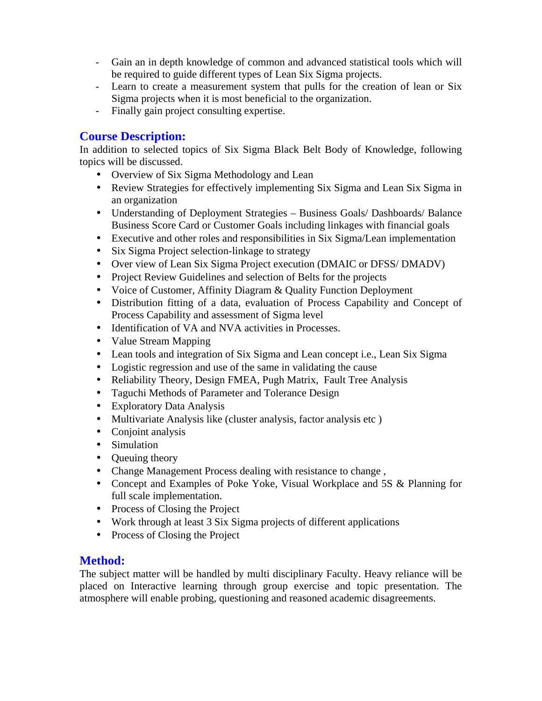- Gain an in depth knowledge of common and advanced statistical tools which will be required to guide different types of Lean Six Sigma projects.
- Learn to create a measurement system that pulls for the creation of lean or Six Sigma projects when it is most beneficial to the organization.
- Finally gain project consulting expertise.

## **Course Description:**

In addition to selected topics of Six Sigma Black Belt Body of Knowledge, following topics will be discussed.

- Overview of Six Sigma Methodology and Lean
- Review Strategies for effectively implementing Six Sigma and Lean Six Sigma in an organization
- Understanding of Deployment Strategies Business Goals/ Dashboards/ Balance Business Score Card or Customer Goals including linkages with financial goals
- Executive and other roles and responsibilities in Six Sigma/Lean implementation
- Six Sigma Project selection-linkage to strategy
- Over view of Lean Six Sigma Project execution (DMAIC or DFSS/ DMADV)
- Project Review Guidelines and selection of Belts for the projects
- Voice of Customer, Affinity Diagram & Quality Function Deployment
- Distribution fitting of a data, evaluation of Process Capability and Concept of Process Capability and assessment of Sigma level
- Identification of VA and NVA activities in Processes.
- Value Stream Mapping
- Lean tools and integration of Six Sigma and Lean concept i.e., Lean Six Sigma
- Logistic regression and use of the same in validating the cause
- Reliability Theory, Design FMEA, Pugh Matrix, Fault Tree Analysis
- Taguchi Methods of Parameter and Tolerance Design
- Exploratory Data Analysis
- Multivariate Analysis like (cluster analysis, factor analysis etc )
- Conjoint analysis
- Simulation
- Oueuing theory
- Change Management Process dealing with resistance to change ,
- Concept and Examples of Poke Yoke, Visual Workplace and 5S & Planning for full scale implementation.
- Process of Closing the Project
- Work through at least 3 Six Sigma projects of different applications
- Process of Closing the Project

#### **Method:**

The subject matter will be handled by multi disciplinary Faculty. Heavy reliance will be placed on Interactive learning through group exercise and topic presentation. The atmosphere will enable probing, questioning and reasoned academic disagreements.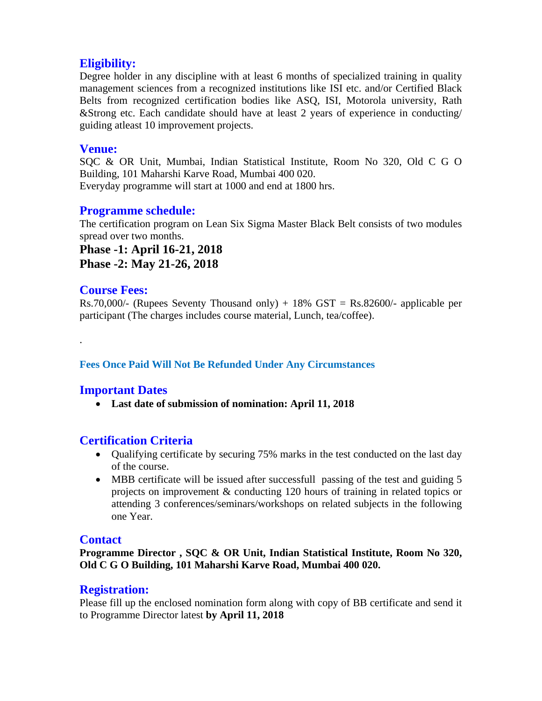# **Eligibility:**

Degree holder in any discipline with at least 6 months of specialized training in quality management sciences from a recognized institutions like ISI etc. and/or Certified Black Belts from recognized certification bodies like ASQ, ISI, Motorola university, Rath &Strong etc. Each candidate should have at least 2 years of experience in conducting/ guiding atleast 10 improvement projects.

#### **Venue:**

SQC & OR Unit, Mumbai, Indian Statistical Institute, Room No 320, Old C G O Building, 101 Maharshi Karve Road, Mumbai 400 020.

Everyday programme will start at 1000 and end at 1800 hrs.

### **Programme schedule:**

The certification program on Lean Six Sigma Master Black Belt consists of two modules spread over two months.

**Phase -1: April 16-21, 2018 Phase -2: May 21-26, 2018**

#### **Course Fees:**

.

Rs.70,000/- (Rupees Seventy Thousand only) + 18%  $GST = Rs.82600/$ - applicable per participant (The charges includes course material, Lunch, tea/coffee).

#### **Fees Once Paid Will Not Be Refunded Under Any Circumstances**

#### **Important Dates**

• **Last date of submission of nomination: April 11, 2018**

#### **Certification Criteria**

- Qualifying certificate by securing 75% marks in the test conducted on the last day of the course.
- MBB certificate will be issued after successfull passing of the test and guiding 5 projects on improvement & conducting 120 hours of training in related topics or attending 3 conferences/seminars/workshops on related subjects in the following one Year.

#### **Contact**

**Programme Director , SQC & OR Unit, Indian Statistical Institute, Room No 320, Old C G O Building, 101 Maharshi Karve Road, Mumbai 400 020.** 

#### **Registration:**

Please fill up the enclosed nomination form along with copy of BB certificate and send it to Programme Director latest **by April 11, 2018**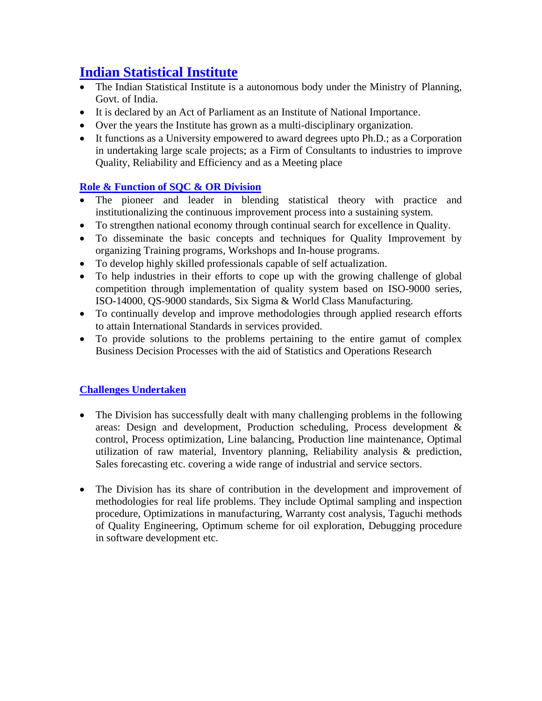# **Indian Statistical Institute**

- The Indian Statistical Institute is a autonomous body under the Ministry of Planning, Govt. of India.
- It is declared by an Act of Parliament as an Institute of National Importance.
- Over the years the Institute has grown as a multi-disciplinary organization.
- It functions as a University empowered to award degrees upto Ph.D.; as a Corporation in undertaking large scale projects; as a Firm of Consultants to industries to improve Quality, Reliability and Efficiency and as a Meeting place

# **Role & Function of SQC & OR Division**

- The pioneer and leader in blending statistical theory with practice and institutionalizing the continuous improvement process into a sustaining system.
- To strengthen national economy through continual search for excellence in Quality.
- To disseminate the basic concepts and techniques for Quality Improvement by organizing Training programs, Workshops and In-house programs.
- To develop highly skilled professionals capable of self actualization.
- To help industries in their efforts to cope up with the growing challenge of global competition through implementation of quality system based on ISO-9000 series, ISO-14000, QS-9000 standards, Six Sigma & World Class Manufacturing.
- To continually develop and improve methodologies through applied research efforts to attain International Standards in services provided.
- To provide solutions to the problems pertaining to the entire gamut of complex Business Decision Processes with the aid of Statistics and Operations Research

#### **Challenges Undertaken**

- The Division has successfully dealt with many challenging problems in the following areas: Design and development, Production scheduling, Process development & control, Process optimization, Line balancing, Production line maintenance, Optimal utilization of raw material, Inventory planning, Reliability analysis & prediction, Sales forecasting etc. covering a wide range of industrial and service sectors.
- The Division has its share of contribution in the development and improvement of methodologies for real life problems. They include Optimal sampling and inspection procedure, Optimizations in manufacturing, Warranty cost analysis, Taguchi methods of Quality Engineering, Optimum scheme for oil exploration, Debugging procedure in software development etc.